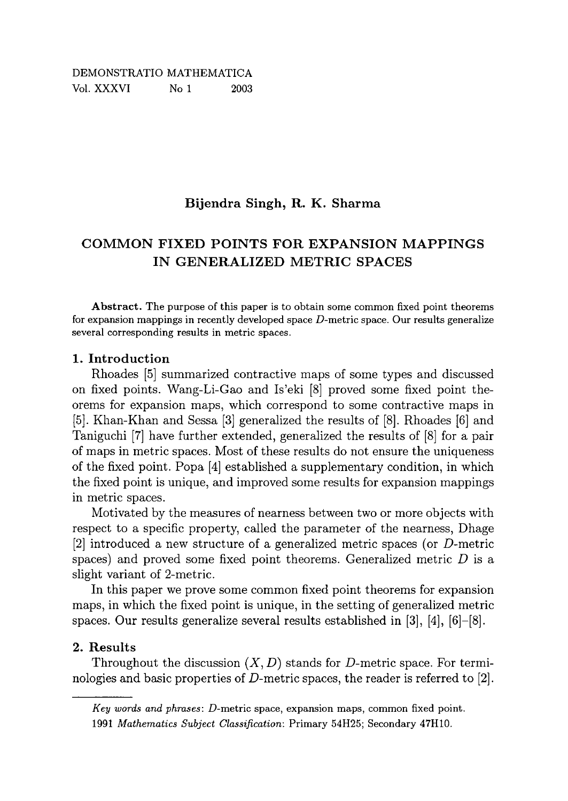## **Bijendra Singh, R. K. Sharma**

# **COMMON FIXED POINTS FOR EXPANSION MAPPINGS IN GENERALIZED METRIC SPACES**

**Abstract.** The purpose of this paper is to obtain some common fixed point theorems for expansion mappings in recently developed space  $D$ -metric space. Our results generalize several corresponding results in metric spaces.

#### **1. Introduction**

Rhoades [5] summarized contractive maps of some types and discussed on fixed points. Wang-Li-Gao and Is'eki [8] proved some fixed point theorems for expansion maps, which correspond to some contractive maps in [5]. Khan-Khan and Sessa [3] generalized the results of [8]. Rhoades [6] and Taniguchi [7] have further extended, generalized the results of [8] for a pair of maps in metric spaces. Most of these results do not ensure the uniqueness of the fixed point. Popa [4] established a supplementary condition, in which the fixed point is unique, and improved some results for expansion mappings in metric spaces.

Motivated by the measures of nearness between two or more objects with respect to a specific property, called the parameter of the nearness, Dhage [2] introduced a new structure of a generalized metric spaces (or D-metric spaces) and proved some fixed point theorems. Generalized metric *D* is a slight variant of 2-metric.

In this paper we prove some common fixed point theorems for expansion maps, in which the fixed point is unique, in the setting of generalized metric spaces. Our results generalize several results established in  $[3]$ ,  $[4]$ ,  $[6]-[8]$ .

### **2. Results**

Throughout the discussion  $(X, D)$  stands for D-metric space. For terminologies and basic properties of D-metric spaces, the reader is referred to [2].

*Key words and phrases:* D-metric space, expansion maps, common fixed point. 1991 *Mathematics Subject Classification:* Primary 54H25; Secondary 47H10.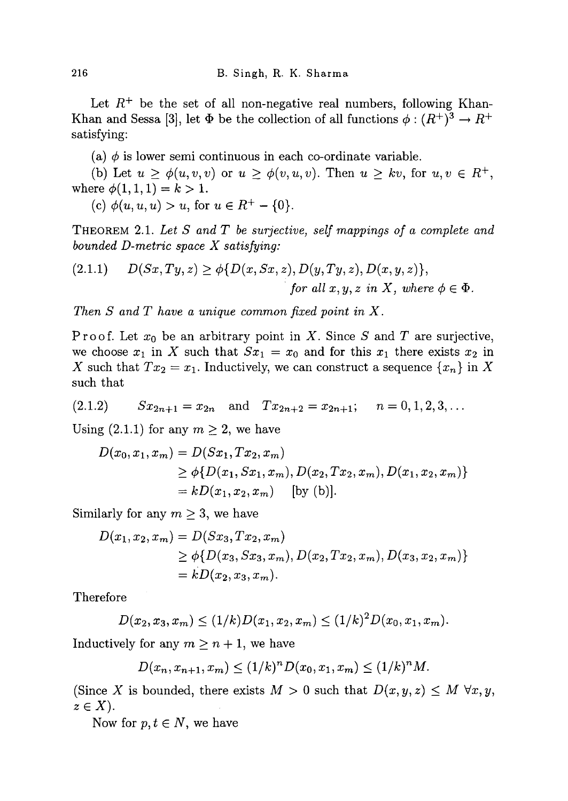Let  $R^+$  be the set of all non-negative real numbers, following Khan-Khan and Sessa [3], let  $\Phi$  be the collection of all functions  $\phi : (R^+)^3 \to R^+$ satisfying:

(a)  $\phi$  is lower semi continuous in each co-ordinate variable.

(b) Let  $u \ge \phi(u, v, v)$  or  $u \ge \phi(v, u, v)$ . Then  $u \ge kv$ , for  $u, v \in R^+$ , where  $\phi(1,1,1) = k > 1$ .

 $(c) \varphi(u, u, u) > u$ , for  $u \in R^+ - \{0\}$ .

**THEOREM 2.1.** *Let S andT be surjective, self mappings of a complete and bounded D-metric space X satisfying:* 

(2.1.1) 
$$
D(Sx,Ty,z) \geq \phi\{D(x,Sx,z), D(y,Ty,z), D(x,y,z)\},
$$
  
for all x, y, z in X, where  $\phi \in \Phi$ .

*Then S and T have a unique common fixed point in X .* 

Proof. Let xo be an arbitrary point in *X.* Since *S* and *T* are surjective, we choose  $x_1$  in X such that  $Sx_1 = x_0$  and for this  $x_1$  there exists  $x_2$  in *X* such that  $Tx_2 = x_1$ . Inductively, we can construct a sequence  $\{x_n\}$  in X such that

$$
(2.1.2) \t Sx_{2n+1} = x_{2n} \t and \t Tx_{2n+2} = x_{2n+1}; \t n = 0, 1, 2, 3, ...
$$

Using (2.1.1) for any  $m \geq 2$ , we have

$$
D(x_0, x_1, x_m) = D(Sx_1, Tx_2, x_m)
$$
  
\n
$$
\geq \phi\{D(x_1, Sx_1, x_m), D(x_2, Tx_2, x_m), D(x_1, x_2, x_m)\}
$$
  
\n
$$
= kD(x_1, x_2, x_m)
$$
 [by (b)].

Similarly for any  $m \geq 3$ , we have

$$
D(x_1, x_2, x_m) = D(Sx_3, Tx_2, x_m)
$$
  
\n
$$
\geq \phi\{D(x_3, Sx_3, x_m), D(x_2, Tx_2, x_m), D(x_3, x_2, x_m)\}
$$
  
\n
$$
= kD(x_2, x_3, x_m).
$$

Therefore

$$
D(x_2, x_3, x_m) \le (1/k)D(x_1, x_2, x_m) \le (1/k)^2 D(x_0, x_1, x_m).
$$

Inductively for any  $m \geq n+1$ , we have

$$
D(x_n, x_{n+1}, x_m) \le (1/k)^n D(x_0, x_1, x_m) \le (1/k)^n M.
$$

(Since X is bounded, there exists  $M > 0$  such that  $D(x, y, z) \leq M \,\forall x, y$ ,  $z \in X$ ).

Now for  $p, t \in N$ , we have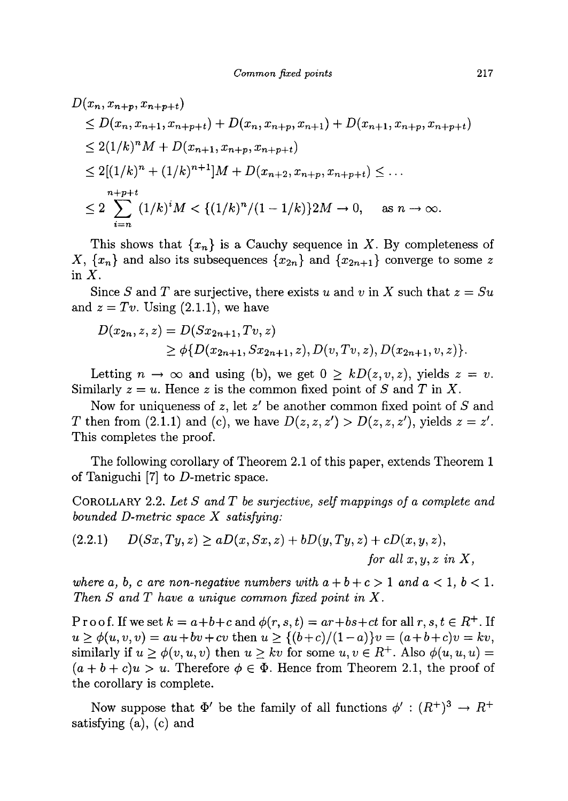$$
D(x_n, x_{n+p}, x_{n+p+t})
$$
  
\n
$$
\leq D(x_n, x_{n+1}, x_{n+p+t}) + D(x_n, x_{n+p}, x_{n+1}) + D(x_{n+1}, x_{n+p}, x_{n+p+t})
$$
  
\n
$$
\leq 2(1/k)^n M + D(x_{n+1}, x_{n+p}, x_{n+p+t})
$$
  
\n
$$
\leq 2[(1/k)^n + (1/k)^{n+1}]M + D(x_{n+2}, x_{n+p}, x_{n+p+t}) \leq \dots
$$
  
\n
$$
\leq 2 \sum_{i=n}^{n+p+t} (1/k)^i M < \{(1/k)^n / (1-1/k)\} 2M \to 0, \text{ as } n \to \infty.
$$

This shows that  $\{x_n\}$  is a Cauchy sequence in X. By completeness of *X*,  $\{x_n\}$  and also its subsequences  $\{x_{2n}\}$  and  $\{x_{2n+1}\}$  converge to some z in  $X$ .

Since *S* and *T* are surjective, there exists *u* and *v* in *X* such that *z = Su*  and  $z = Tv$ . Using  $(2.1.1)$ , we have

$$
D(x_{2n}, z, z) = D(Sx_{2n+1}, Tv, z)
$$
  
\n
$$
\geq \phi\{D(x_{2n+1}, Sx_{2n+1}, z), D(v, Tv, z), D(x_{2n+1}, v, z)\}.
$$

Letting  $n \to \infty$  and using (b), we get  $0 \geq kD(z, v, z)$ , yields  $z = v$ . Similarly  $z = u$ . Hence z is the common fixed point of S and T in X.

Now for uniqueness of *z,* let *z'* be another common fixed point of *S* and *T* then from (2.1.1) and (c), we have  $D(z, z, z') > D(z, z, z')$ , yields  $z = z'$ . This completes the proof.

The following corollary of Theorem 2.1 of this paper, extends Theorem 1 of Taniguchi  $[7]$  to D-metric space.

**COROLLARY 2.2.** *Let S andT be surjective, self mappings of a complete and bounded D-metric space X satisfying:* 

$$
(2.2.1) \qquad D(Sx,Ty,z) \ge aD(x,Sx,z) + bD(y,Ty,z) + cD(x,y,z),
$$
  
for all x, y, z in X,

*where a, b, c are non-negative numbers with*  $a + b + c > 1$  *and*  $a < 1$ *,*  $b < 1$ *. Then S and T have a unique common fixed point in X.* 

Proof. If we set  $k = a+b+c$  and  $\phi(r, s, t) = ar+bs+ct$  for all  $r, s, t \in R^+$ . If  $u \ge \phi(u, v, v) = au + bv + cv$  then  $u \ge \{(b+c)/(1-a)\}v = (a+b+c)v = kv$ , similarly if  $u \ge \phi(v, u, v)$  then  $u \ge kv$  for some  $u, v \in R^+$ . Also  $\phi(u, u, u) =$  $(a + b + c)u > u$ . Therefore  $\phi \in \Phi$ . Hence from Theorem 2.1, the proof of the corollary is complete.

Now suppose that  $\Phi'$  be the family of all functions  $\phi' : (R^+)^3 \to R^+$ satisfying (a), (c) and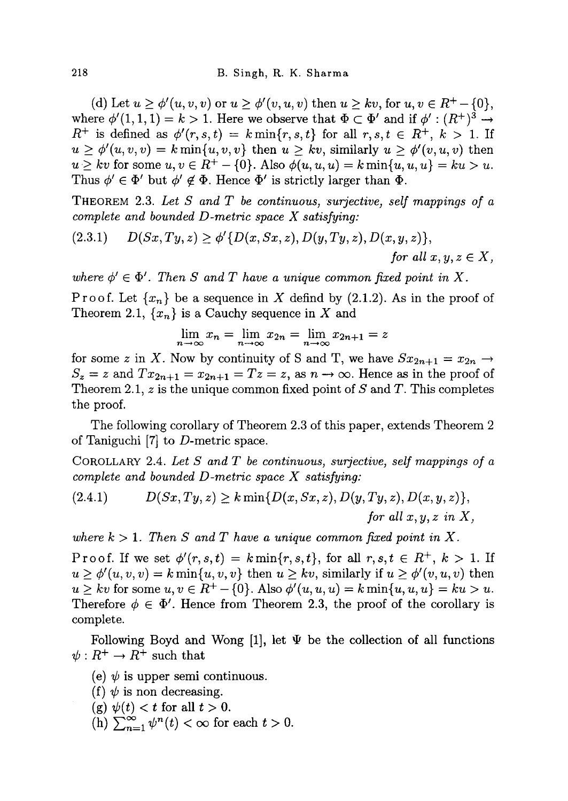(d) Let  $u \ge \phi'(u, v, v)$  or  $u \ge \phi'(v, u, v)$  then  $u \ge kv$ , for  $u, v \in R^+ - \{0\}$ , where  $\phi'(1,1,1) = k > 1$ . Here we observe that  $\Phi \subset \Phi'$  and if  $\phi' : (R^+)^3 \to$  $R^+$  is defined as  $\phi'(r,s,t) = k \min\{r,s,t\}$  for all  $r,s,t \in R^+, k > 1$ . If  $u \geq \phi'(u,v,v) = k \min\{u,v,v\}$  then  $u \geq kv$ , similarly  $u \geq \phi'(v,u,v)$  then  $u \geq kv$  for some  $u, v \in R^+ - \{0\}$ . Also  $\phi(u, u, u) = k \min\{u, u, u\} = ku > u$ . Thus  $\phi' \in \Phi'$  but  $\phi' \notin \Phi$ . Hence  $\Phi'$  is strictly larger than  $\Phi$ .

**THEOREM 2.3.** *Let S and T be continuous, surjective, self mappings of a complete and bounded D-metric space X satisfying:* 

$$
(2.3.1) \qquad D(Sx,Ty,z) \geq \phi'\{D(x,Sx,z), D(y,Ty,z), D(x,y,z)\},
$$
  
for all  $x, y, z \in X$ ,

where  $\phi' \in \Phi'$ . Then S and T have a unique common fixed point in X.

Proof. Let  $\{x_n\}$  be a sequence in X defind by (2.1.2). As in the proof of Theorem 2.1,  $\{x_n\}$  is a Cauchy sequence in X and

$$
\lim_{n \to \infty} x_n = \lim_{n \to \infty} x_{2n} = \lim_{n \to \infty} x_{2n+1} = z
$$

for some z in X. Now by continuity of S and T, we have  $Sx_{2n+1} = x_{2n} \rightarrow$  $S_z = z$  and  $Tx_{2n+1} = x_{2n+1} = Tz = z$ , as  $n \to \infty$ . Hence as in the proof of Theorem 2.1, z is the unique common fixed point of *S* and *T.* This completes the proof.

The following corollary of Theorem 2.3 of this paper, extends Theorem 2 of Taniguchi [7] to D-metric space.

**COROLLARY 2.4.** *Let S and T be continuous, surjective, self mappings of a complete and bounded D-metric space X satisfying:* 

(2.4.1) 
$$
D(Sx,Ty,z) \geq k \min\{D(x,Sx,z), D(y,Ty,z), D(x,y,z)\},
$$
  
for all x, y, z in X,

where  $k > 1$ . Then S and T have a unique common fixed point in X.

Proof. If we set  $\phi'(r,s,t) = k \min\{r, s, t\}$ , for all  $r, s, t \in R^+$ ,  $k > 1$ . If  $u \geq \phi'(u, v, v) = k \min\{u, v, v\}$  then  $u \geq kv$ , similarly if  $u \geq \phi'(v, u, v)$  then  $u \geq kv$  for some  $u, v \in R^+ - \{0\}$ . Also  $\phi'(u, u, u) = k \min\{u, u, u\} = ku > u$ . Therefore  $\phi \in \Phi'$ . Hence from Theorem 2.3, the proof of the corollary is complete.

Following Boyd and Wong [1], let  $\Psi$  be the collection of all functions  $\psi: R^+ \to R^+$  such that

- (e)  $\psi$  is upper semi continuous.
- (f)  $\psi$  is non decreasing.
- (g)  $\psi(t) < t$  for all  $t > 0$ .
- $(h)$   $\sum_{n=1}^{\infty} \psi^n(t) < \infty$  for each  $t > 0$ .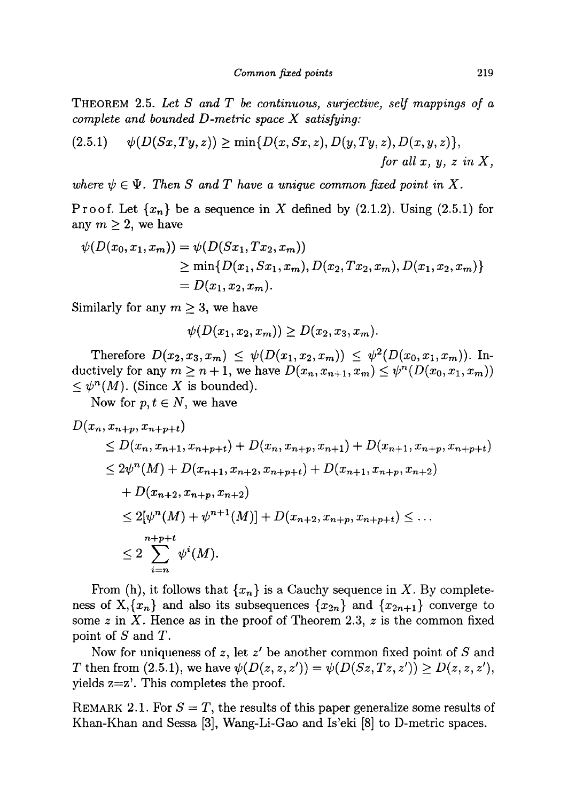**THEOREM 2.5.** *Let S and T be continuous, surjective, self mappings of a complete and bounded D-metric space X satisfying:* 

$$
(2.5.1) \qquad \psi(D(Sx,Ty,z)) \ge \min\{D(x,Sx,z),D(y,Ty,z),D(x,y,z)\},
$$
  
for all x, y, z in X,

where  $\psi \in \Psi$ . Then S and T have a unique common fixed point in X.

Proof. Let  $\{x_n\}$  be a sequence in X defined by (2.1.2). Using (2.5.1) for any  $m \geq 2$ , we have

$$
\psi(D(x_0, x_1, x_m)) = \psi(D(Sx_1, Tx_2, x_m))
$$
  
\n
$$
\geq \min\{D(x_1, Sx_1, x_m), D(x_2, Tx_2, x_m), D(x_1, x_2, x_m)\}
$$
  
\n
$$
= D(x_1, x_2, x_m).
$$

Similarly for any  $m \geq 3$ , we have

$$
\psi(D(x_1,x_2,x_m))\geq D(x_2,x_3,x_m).
$$

Therefore  $D(x_2, x_3, x_m) \leq \psi(D(x_1, x_2, x_m)) \leq \psi^2(D(x_0, x_1, x_m))$ . Inductively for any  $m \geq n+1$ , we have  $D(x_n, x_{n+1}, x_m) \leq \psi^n(D(x_0, x_1, x_m))$  $\leq \psi^{n}(M)$ . (Since X is bounded).

Now for  $p, t \in N$ , we have

$$
D(x_n, x_{n+p}, x_{n+p+t})
$$
  
\n
$$
\leq D(x_n, x_{n+1}, x_{n+p+t}) + D(x_n, x_{n+p}, x_{n+1}) + D(x_{n+1}, x_{n+p}, x_{n+p+t})
$$
  
\n
$$
\leq 2\psi^n(M) + D(x_{n+1}, x_{n+2}, x_{n+p+t}) + D(x_{n+1}, x_{n+p}, x_{n+2})
$$
  
\n
$$
+ D(x_{n+2}, x_{n+p}, x_{n+2})
$$
  
\n
$$
\leq 2[\psi^n(M) + \psi^{n+1}(M)] + D(x_{n+2}, x_{n+p}, x_{n+p+t}) \leq \dots
$$
  
\n
$$
\leq 2 \sum_{i=n}^{n+p+t} \psi^i(M).
$$

From (h), it follows that  $\{x_n\}$  is a Cauchy sequence in X. By completeness of  $X, \{x_n\}$  and also its subsequences  $\{x_{2n}\}\$  and  $\{x_{2n+1}\}\$  converge to some  $z$  in  $X$ . Hence as in the proof of Theorem 2.3,  $z$  is the common fixed point of *S* and *T.* 

Now for uniqueness of *z,* let *z'* be another common fixed point of *S* and *T* then from (2.5.1), we have  $\psi(D(z, z, z')) = \psi(D(Sz, Tz, z')) \ge D(z, z, z'),$ yields z=z'. This completes the proof.

**REMARK 2.1.** For *S = T,* the results of this paper generalize some results of Khan-Khan and Sessa [3], Wang-Li-Gao and Is'eki [8] to D-metric spaces.